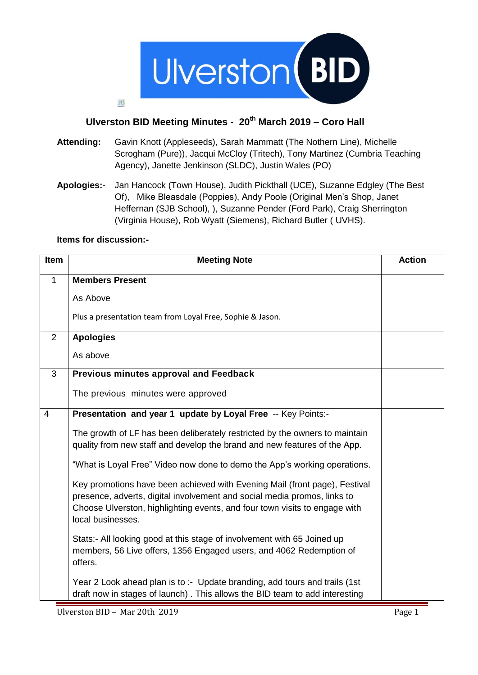

## **Ulverston BID Meeting Minutes - 20th March 2019 – Coro Hall**

- **Attending:** Gavin Knott (Appleseeds), Sarah Mammatt (The Nothern Line), Michelle Scrogham (Pure)), Jacqui McCloy (Tritech), Tony Martinez (Cumbria Teaching Agency), Janette Jenkinson (SLDC), Justin Wales (PO)
- **Apologies:** Jan Hancock (Town House), Judith Pickthall (UCE), Suzanne Edgley (The Best Of), Mike Bleasdale (Poppies), Andy Poole (Original Men's Shop, Janet Heffernan (SJB School), ), Suzanne Pender (Ford Park), Craig Sherrington (Virginia House), Rob Wyatt (Siemens), Richard Butler ( UVHS).

## **Items for discussion:-**

瓜

| Item           | <b>Meeting Note</b>                                                                                                                                                                                                                                       | <b>Action</b> |
|----------------|-----------------------------------------------------------------------------------------------------------------------------------------------------------------------------------------------------------------------------------------------------------|---------------|
| $\mathbf 1$    | <b>Members Present</b>                                                                                                                                                                                                                                    |               |
|                | As Above                                                                                                                                                                                                                                                  |               |
|                | Plus a presentation team from Loyal Free, Sophie & Jason.                                                                                                                                                                                                 |               |
| $\overline{2}$ | <b>Apologies</b>                                                                                                                                                                                                                                          |               |
|                | As above                                                                                                                                                                                                                                                  |               |
| 3              | Previous minutes approval and Feedback                                                                                                                                                                                                                    |               |
|                | The previous minutes were approved                                                                                                                                                                                                                        |               |
| $\overline{4}$ | Presentation and year 1 update by Loyal Free -- Key Points:-                                                                                                                                                                                              |               |
|                | The growth of LF has been deliberately restricted by the owners to maintain<br>quality from new staff and develop the brand and new features of the App.                                                                                                  |               |
|                | "What is Loyal Free" Video now done to demo the App's working operations.                                                                                                                                                                                 |               |
|                | Key promotions have been achieved with Evening Mail (front page), Festival<br>presence, adverts, digital involvement and social media promos, links to<br>Choose Ulverston, highlighting events, and four town visits to engage with<br>local businesses. |               |
|                | Stats:- All looking good at this stage of involvement with 65 Joined up<br>members, 56 Live offers, 1356 Engaged users, and 4062 Redemption of<br>offers.                                                                                                 |               |
|                | Year 2 Look ahead plan is to :- Update branding, add tours and trails (1st<br>draft now in stages of launch). This allows the BID team to add interesting                                                                                                 |               |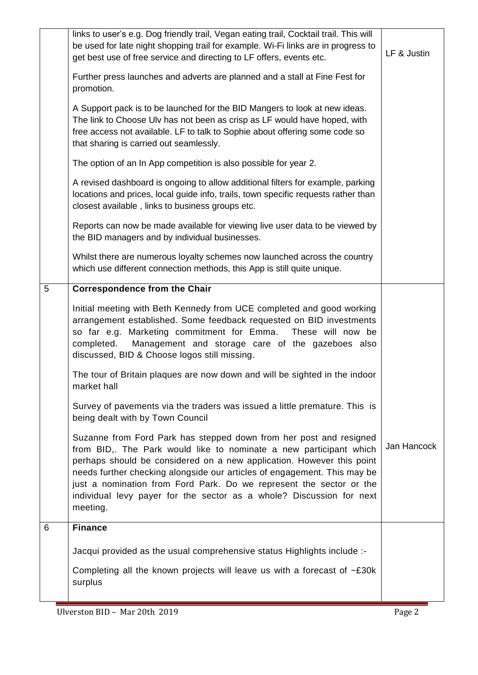|   | links to user's e.g. Dog friendly trail, Vegan eating trail, Cocktail trail. This will<br>be used for late night shopping trail for example. Wi-Fi links are in progress to<br>get best use of free service and directing to LF offers, events etc.                                                                                                                                                                                                      | LF & Justin |
|---|----------------------------------------------------------------------------------------------------------------------------------------------------------------------------------------------------------------------------------------------------------------------------------------------------------------------------------------------------------------------------------------------------------------------------------------------------------|-------------|
|   | Further press launches and adverts are planned and a stall at Fine Fest for<br>promotion.                                                                                                                                                                                                                                                                                                                                                                |             |
|   | A Support pack is to be launched for the BID Mangers to look at new ideas.<br>The link to Choose Ulv has not been as crisp as LF would have hoped, with<br>free access not available. LF to talk to Sophie about offering some code so<br>that sharing is carried out seamlessly.                                                                                                                                                                        |             |
|   | The option of an In App competition is also possible for year 2.                                                                                                                                                                                                                                                                                                                                                                                         |             |
|   | A revised dashboard is ongoing to allow additional filters for example, parking<br>locations and prices, local guide info, trails, town specific requests rather than<br>closest available, links to business groups etc.                                                                                                                                                                                                                                |             |
|   | Reports can now be made available for viewing live user data to be viewed by<br>the BID managers and by individual businesses.                                                                                                                                                                                                                                                                                                                           |             |
|   | Whilst there are numerous loyalty schemes now launched across the country<br>which use different connection methods, this App is still quite unique.                                                                                                                                                                                                                                                                                                     |             |
| 5 | <b>Correspondence from the Chair</b>                                                                                                                                                                                                                                                                                                                                                                                                                     |             |
|   | Initial meeting with Beth Kennedy from UCE completed and good working<br>arrangement established. Some feedback requested on BID investments<br>so far e.g. Marketing commitment for Emma. These will now be<br>Management and storage care of the gazeboes also<br>completed.<br>discussed, BID & Choose logos still missing.                                                                                                                           |             |
|   | The tour of Britain plaques are now down and will be sighted in the indoor<br>market hall                                                                                                                                                                                                                                                                                                                                                                |             |
|   | Survey of pavements via the traders was issued a little premature. This is<br>being dealt with by Town Council                                                                                                                                                                                                                                                                                                                                           |             |
|   | Suzanne from Ford Park has stepped down from her post and resigned<br>from BID,. The Park would like to nominate a new participant which<br>perhaps should be considered on a new application. However this point<br>needs further checking alongside our articles of engagement. This may be<br>just a nomination from Ford Park. Do we represent the sector or the<br>individual levy payer for the sector as a whole? Discussion for next<br>meeting. | Jan Hancock |
| 6 | <b>Finance</b>                                                                                                                                                                                                                                                                                                                                                                                                                                           |             |
|   | Jacqui provided as the usual comprehensive status Highlights include :-                                                                                                                                                                                                                                                                                                                                                                                  |             |
|   | Completing all the known projects will leave us with a forecast of $\sim$ £30k<br>surplus                                                                                                                                                                                                                                                                                                                                                                |             |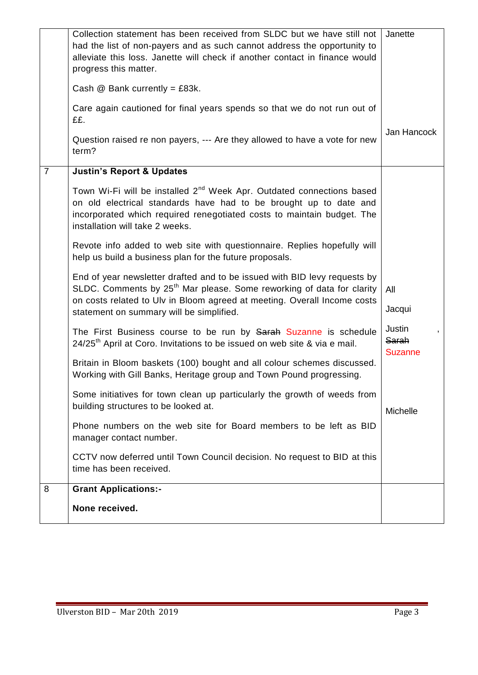|                | Collection statement has been received from SLDC but we have still not<br>had the list of non-payers and as such cannot address the opportunity to<br>alleviate this loss. Janette will check if another contact in finance would<br>progress this matter.                             | Janette                           |
|----------------|----------------------------------------------------------------------------------------------------------------------------------------------------------------------------------------------------------------------------------------------------------------------------------------|-----------------------------------|
|                | Cash $@$ Bank currently = £83k.                                                                                                                                                                                                                                                        |                                   |
|                | Care again cautioned for final years spends so that we do not run out of<br>££.                                                                                                                                                                                                        |                                   |
|                | Question raised re non payers, --- Are they allowed to have a vote for new<br>term?                                                                                                                                                                                                    | Jan Hancock                       |
| $\overline{7}$ | <b>Justin's Report &amp; Updates</b>                                                                                                                                                                                                                                                   |                                   |
|                | Town Wi-Fi will be installed 2 <sup>nd</sup> Week Apr. Outdated connections based<br>on old electrical standards have had to be brought up to date and<br>incorporated which required renegotiated costs to maintain budget. The<br>installation will take 2 weeks.                    |                                   |
|                | Revote info added to web site with questionnaire. Replies hopefully will<br>help us build a business plan for the future proposals.                                                                                                                                                    |                                   |
|                | End of year newsletter drafted and to be issued with BID levy requests by<br>SLDC. Comments by 25 <sup>th</sup> Mar please. Some reworking of data for clarity<br>on costs related to Ulv in Bloom agreed at meeting. Overall Income costs<br>statement on summary will be simplified. | All<br>Jacqui                     |
|                | The First Business course to be run by Sarah Suzanne is schedule<br>24/25 <sup>th</sup> April at Coro. Invitations to be issued on web site & via e mail.                                                                                                                              | Justin<br>Sarah<br><b>Suzanne</b> |
|                | Britain in Bloom baskets (100) bought and all colour schemes discussed.<br>Working with Gill Banks, Heritage group and Town Pound progressing.                                                                                                                                         |                                   |
|                | Some initiatives for town clean up particularly the growth of weeds from<br>building structures to be looked at.                                                                                                                                                                       | <b>Michelle</b>                   |
|                | Phone numbers on the web site for Board members to be left as BID<br>manager contact number.                                                                                                                                                                                           |                                   |
|                | CCTV now deferred until Town Council decision. No request to BID at this<br>time has been received.                                                                                                                                                                                    |                                   |
| 8              | <b>Grant Applications:-</b>                                                                                                                                                                                                                                                            |                                   |
|                | None received.                                                                                                                                                                                                                                                                         |                                   |